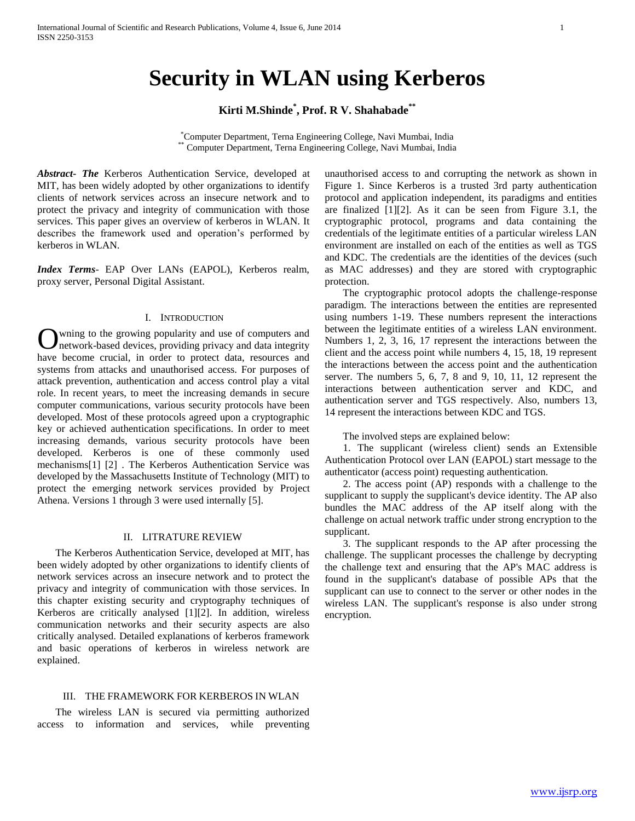# **Security in WLAN using Kerberos**

# **Kirti M.Shinde\* , Prof. R V. Shahabade\*\***

\*Computer Department, Terna Engineering College, Navi Mumbai, India \*\* Computer Department, Terna Engineering College, Navi Mumbai, India

*Abstract***-** *The* Kerberos Authentication Service, developed at MIT, has been widely adopted by other organizations to identify clients of network services across an insecure network and to protect the privacy and integrity of communication with those services. This paper gives an overview of kerberos in WLAN. It describes the framework used and operation's performed by kerberos in WLAN.

*Index Terms*- EAP Over LANs (EAPOL), Kerberos realm, proxy server, Personal Digital Assistant.

#### I. INTRODUCTION

wning to the growing popularity and use of computers and network-based devices, providing privacy and data integrity have become crucial, in order to protect data, resources and systems from attacks and unauthorised access. For purposes of attack prevention, authentication and access control play a vital role. In recent years, to meet the increasing demands in secure computer communications, various security protocols have been developed. Most of these protocols agreed upon a cryptographic key or achieved authentication specifications. In order to meet increasing demands, various security protocols have been developed. Kerberos is one of these commonly used mechanisms[1] [2] . The Kerberos Authentication Service was developed by the Massachusetts Institute of Technology (MIT) to protect the emerging network services provided by Project Athena. Versions 1 through 3 were used internally [5]. O

### II. LITRATURE REVIEW

 The Kerberos Authentication Service, developed at MIT, has been widely adopted by other organizations to identify clients of network services across an insecure network and to protect the privacy and integrity of communication with those services. In this chapter existing security and cryptography techniques of Kerberos are critically analysed [1][2]. In addition, wireless communication networks and their security aspects are also critically analysed. Detailed explanations of kerberos framework and basic operations of kerberos in wireless network are explained.

## III. THE FRAMEWORK FOR KERBEROS IN WLAN

 The wireless LAN is secured via permitting authorized access to information and services, while preventing unauthorised access to and corrupting the network as shown in Figure 1. Since Kerberos is a trusted 3rd party authentication protocol and application independent, its paradigms and entities are finalized [1][2]. As it can be seen from Figure 3.1, the cryptographic protocol, programs and data containing the credentials of the legitimate entities of a particular wireless LAN environment are installed on each of the entities as well as TGS and KDC. The credentials are the identities of the devices (such as MAC addresses) and they are stored with cryptographic protection.

 The cryptographic protocol adopts the challenge-response paradigm. The interactions between the entities are represented using numbers 1-19. These numbers represent the interactions between the legitimate entities of a wireless LAN environment. Numbers 1, 2, 3, 16, 17 represent the interactions between the client and the access point while numbers 4, 15, 18, 19 represent the interactions between the access point and the authentication server. The numbers 5, 6, 7, 8 and 9, 10, 11, 12 represent the interactions between authentication server and KDC, and authentication server and TGS respectively. Also, numbers 13, 14 represent the interactions between KDC and TGS.

The involved steps are explained below:

 1. The supplicant (wireless client) sends an Extensible Authentication Protocol over LAN (EAPOL) start message to the authenticator (access point) requesting authentication.

 2. The access point (AP) responds with a challenge to the supplicant to supply the supplicant's device identity. The AP also bundles the MAC address of the AP itself along with the challenge on actual network traffic under strong encryption to the supplicant.

 3. The supplicant responds to the AP after processing the challenge. The supplicant processes the challenge by decrypting the challenge text and ensuring that the AP's MAC address is found in the supplicant's database of possible APs that the supplicant can use to connect to the server or other nodes in the wireless LAN. The supplicant's response is also under strong encryption.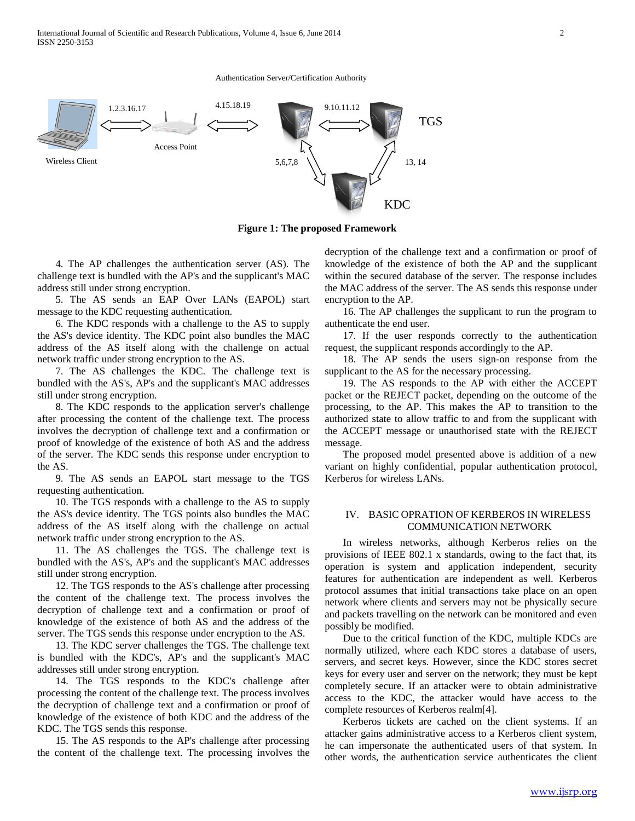International Journal of Scientific and Research Publications, Volume 4, Issue 6, June 2014 2 ISSN 2250-3153

Authentication Server/Certification Authority



**Figure 1: The proposed Framework**

 4. The AP challenges the authentication server (AS). The challenge text is bundled with the AP's and the supplicant's MAC address still under strong encryption.

 5. The AS sends an EAP Over LANs (EAPOL) start message to the KDC requesting authentication.

 6. The KDC responds with a challenge to the AS to supply the AS's device identity. The KDC point also bundles the MAC address of the AS itself along with the challenge on actual network traffic under strong encryption to the AS.

 7. The AS challenges the KDC. The challenge text is bundled with the AS's, AP's and the supplicant's MAC addresses still under strong encryption.

 8. The KDC responds to the application server's challenge after processing the content of the challenge text. The process involves the decryption of challenge text and a confirmation or proof of knowledge of the existence of both AS and the address of the server. The KDC sends this response under encryption to the AS.

 9. The AS sends an EAPOL start message to the TGS requesting authentication.

 10. The TGS responds with a challenge to the AS to supply the AS's device identity. The TGS points also bundles the MAC address of the AS itself along with the challenge on actual network traffic under strong encryption to the AS.

 11. The AS challenges the TGS. The challenge text is bundled with the AS's, AP's and the supplicant's MAC addresses still under strong encryption.

 12. The TGS responds to the AS's challenge after processing the content of the challenge text. The process involves the decryption of challenge text and a confirmation or proof of knowledge of the existence of both AS and the address of the server. The TGS sends this response under encryption to the AS.

 13. The KDC server challenges the TGS. The challenge text is bundled with the KDC's, AP's and the supplicant's MAC addresses still under strong encryption.

 14. The TGS responds to the KDC's challenge after processing the content of the challenge text. The process involves the decryption of challenge text and a confirmation or proof of knowledge of the existence of both KDC and the address of the KDC. The TGS sends this response.

 15. The AS responds to the AP's challenge after processing the content of the challenge text. The processing involves the decryption of the challenge text and a confirmation or proof of knowledge of the existence of both the AP and the supplicant within the secured database of the server. The response includes the MAC address of the server. The AS sends this response under encryption to the AP.

 16. The AP challenges the supplicant to run the program to authenticate the end user.

 17. If the user responds correctly to the authentication request, the supplicant responds accordingly to the AP.

 18. The AP sends the users sign-on response from the supplicant to the AS for the necessary processing.

 19. The AS responds to the AP with either the ACCEPT packet or the REJECT packet, depending on the outcome of the processing, to the AP. This makes the AP to transition to the authorized state to allow traffic to and from the supplicant with the ACCEPT message or unauthorised state with the REJECT message.

 The proposed model presented above is addition of a new variant on highly confidential, popular authentication protocol, Kerberos for wireless LANs.

#### IV. BASIC OPRATION OF KERBEROS IN WIRELESS COMMUNICATION NETWORK

 In wireless networks, although Kerberos relies on the provisions of IEEE 802.1 x standards, owing to the fact that, its operation is system and application independent, security features for authentication are independent as well. Kerberos protocol assumes that initial transactions take place on an open network where clients and servers may not be physically secure and packets travelling on the network can be monitored and even possibly be modified.

 Due to the critical function of the KDC, multiple KDCs are normally utilized, where each KDC stores a database of users, servers, and secret keys. However, since the KDC stores secret keys for every user and server on the network; they must be kept completely secure. If an attacker were to obtain administrative access to the KDC, the attacker would have access to the complete resources of Kerberos realm[4].

 Kerberos tickets are cached on the client systems. If an attacker gains administrative access to a Kerberos client system, he can impersonate the authenticated users of that system. In other words, the authentication service authenticates the client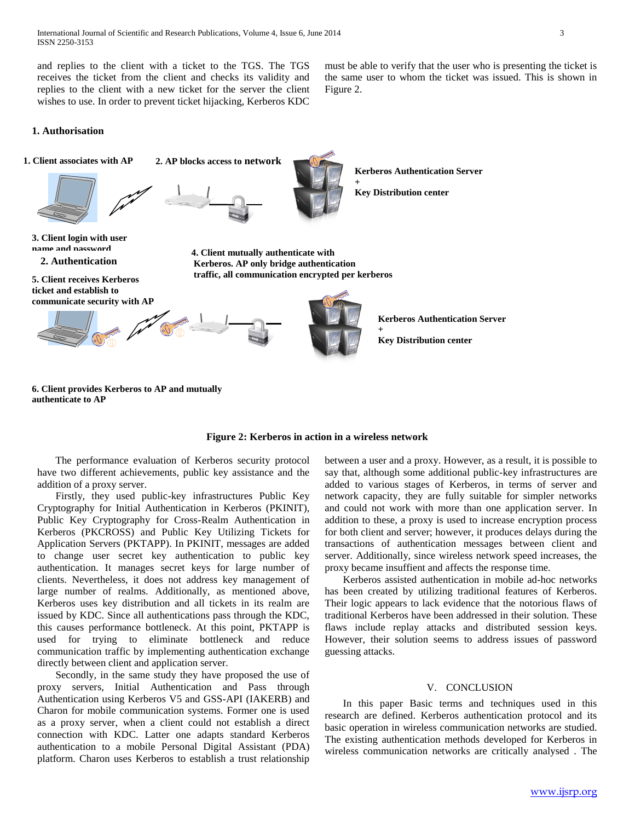and replies to the client with a ticket to the TGS. The TGS receives the ticket from the client and checks its validity and replies to the client with a new ticket for the server the client wishes to use. In order to prevent ticket hijacking, Kerberos KDC must be able to verify that the user who is presenting the ticket is the same user to whom the ticket was issued. This is shown in Figure 2.

#### **1. Authorisation**



# **Figure 2: Kerberos in action in a wireless network**

 The performance evaluation of Kerberos security protocol have two different achievements, public key assistance and the addition of a proxy server.

 Firstly, they used public-key infrastructures Public Key Cryptography for Initial Authentication in Kerberos (PKINIT), Public Key Cryptography for Cross-Realm Authentication in Kerberos (PKCROSS) and Public Key Utilizing Tickets for Application Servers (PKTAPP). In PKINIT, messages are added to change user secret key authentication to public key authentication. It manages secret keys for large number of clients. Nevertheless, it does not address key management of large number of realms. Additionally, as mentioned above, Kerberos uses key distribution and all tickets in its realm are issued by KDC. Since all authentications pass through the KDC, this causes performance bottleneck. At this point, PKTAPP is used for trying to eliminate bottleneck and reduce communication traffic by implementing authentication exchange directly between client and application server.

 Secondly, in the same study they have proposed the use of proxy servers, Initial Authentication and Pass through Authentication using Kerberos V5 and GSS-API (IAKERB) and Charon for mobile communication systems. Former one is used as a proxy server, when a client could not establish a direct connection with KDC. Latter one adapts standard Kerberos authentication to a mobile Personal Digital Assistant (PDA) platform. Charon uses Kerberos to establish a trust relationship

between a user and a proxy. However, as a result, it is possible to say that, although some additional public-key infrastructures are added to various stages of Kerberos, in terms of server and network capacity, they are fully suitable for simpler networks and could not work with more than one application server. In addition to these, a proxy is used to increase encryption process for both client and server; however, it produces delays during the transactions of authentication messages between client and server. Additionally, since wireless network speed increases, the proxy became insuffient and affects the response time.

 Kerberos assisted authentication in mobile ad-hoc networks has been created by utilizing traditional features of Kerberos. Their logic appears to lack evidence that the notorious flaws of traditional Kerberos have been addressed in their solution. These flaws include replay attacks and distributed session keys. However, their solution seems to address issues of password guessing attacks.

#### V. CONCLUSION

 In this paper Basic terms and techniques used in this research are defined. Kerberos authentication protocol and its basic operation in wireless communication networks are studied. The existing authentication methods developed for Kerberos in wireless communication networks are critically analysed . The